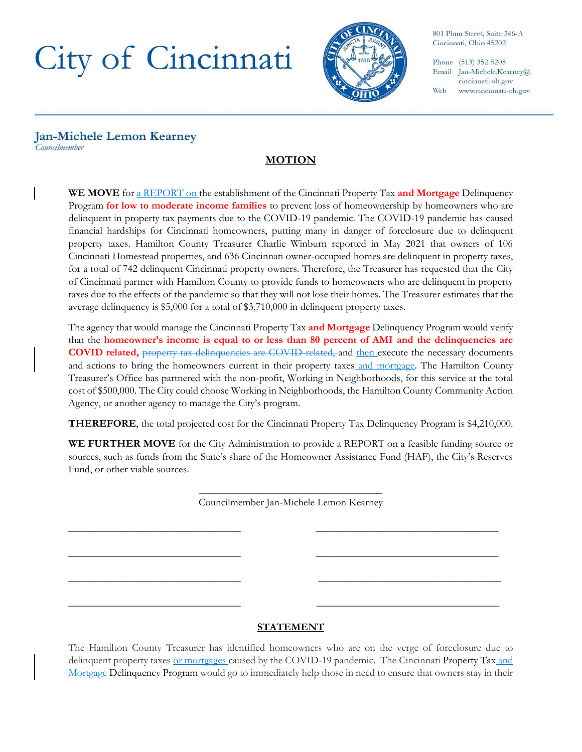## City of Cincinnati



801 Plum Street, Suite 346-A Cincinnati, Ohio 45202

Phone (513) 352-5205 Email Jan-Michele.Kearney@ cincinnati-oh.gov Web www.cincinnati-oh.gov

## **Jan-Michele Lemon Kearney** Councilmember

## **MOTION**

**WE MOVE** for a REPORT on the establishment of the Cincinnati Property Tax **and Mortgage** Delinquency Program **for low to moderate income families** to prevent loss of homeownership by homeowners who are delinquent in property tax payments due to the COVID-19 pandemic. The COVID-19 pandemic has caused financial hardships for Cincinnati homeowners, putting many in danger of foreclosure due to delinquent property taxes. Hamilton County Treasurer Charlie Winburn reported in May 2021 that owners of 106 Cincinnati Homestead properties, and 636 Cincinnati owner-occupied homes are delinquent in property taxes, for a total of 742 delinquent Cincinnati property owners. Therefore, the Treasurer has requested that the City of Cincinnati partner with Hamilton County to provide funds to homeowners who are delinquent in property taxes due to the effects of the pandemic so that they will not lose their homes. The Treasurer estimates that the average delinquency is \$5,000 for a total of \$3,710,000 in delinquent property taxes.

The agency that would manage the Cincinnati Property Tax **and Mortgage** Delinquency Program would verify that the **homeowner's income is equal to or less than 80 percent of AMI and the delinquencies are COVID related,** property tax delinquencies are COVID-related, and then execute the necessary documents and actions to bring the homeowners current in their property taxes and mortgage. The Hamilton County Treasurer's Office has partnered with the non-profit, Working in Neighborhoods, for this service at the total cost of \$500,000. The City could choose Working in Neighborhoods, the Hamilton County Community Action Agency, or another agency to manage the City's program.

**THEREFORE**, the total projected cost for the Cincinnati Property Tax Delinquency Program is \$4,210,000.

**WE FURTHER MOVE** for the City Administration to provide a REPORT on a feasible funding source or sources, such as funds from the State's share of the Homeowner Assistance Fund (HAF), the City's Reserves Fund, or other viable sources.

> \_\_\_\_\_\_\_\_\_\_\_\_\_\_\_\_\_\_\_\_\_\_\_\_\_\_\_\_\_\_\_\_\_\_\_ Councilmember Jan-Michele Lemon Kearney

\_\_\_\_\_\_\_\_\_\_\_\_\_\_\_\_\_\_\_\_\_\_\_\_\_\_\_\_\_\_\_\_\_ \_\_\_\_\_\_\_\_\_\_\_\_\_\_\_\_\_\_\_\_\_\_\_\_\_\_\_\_\_\_\_\_\_\_\_

\_\_\_\_\_\_\_\_\_\_\_\_\_\_\_\_\_\_\_\_\_\_\_\_\_\_\_\_\_\_\_\_\_ \_\_\_\_\_\_\_\_\_\_\_\_\_\_\_\_\_\_\_\_\_\_\_\_\_\_\_\_\_\_\_\_\_\_\_

\_\_\_\_\_\_\_\_\_\_\_\_\_\_\_\_\_\_\_\_\_\_\_\_\_\_\_\_\_\_\_\_\_ \_\_\_\_\_\_\_\_\_\_\_\_\_\_\_\_\_\_\_\_\_\_\_\_\_\_\_\_\_\_\_\_\_\_\_

\_\_\_\_\_\_\_\_\_\_\_\_\_\_\_\_\_\_\_\_\_\_\_\_\_\_\_\_\_\_\_\_\_ \_\_\_\_\_\_\_\_\_\_\_\_\_\_\_\_\_\_\_\_\_\_\_\_\_\_\_\_\_\_\_\_\_\_\_

## **STATEMENT**

The Hamilton County Treasurer has identified homeowners who are on the verge of foreclosure due to delinquent property taxes or mortgages caused by the COVID-19 pandemic. The Cincinnati Property Tax and Mortgage Delinquency Program would go to immediately help those in need to ensure that owners stay in their